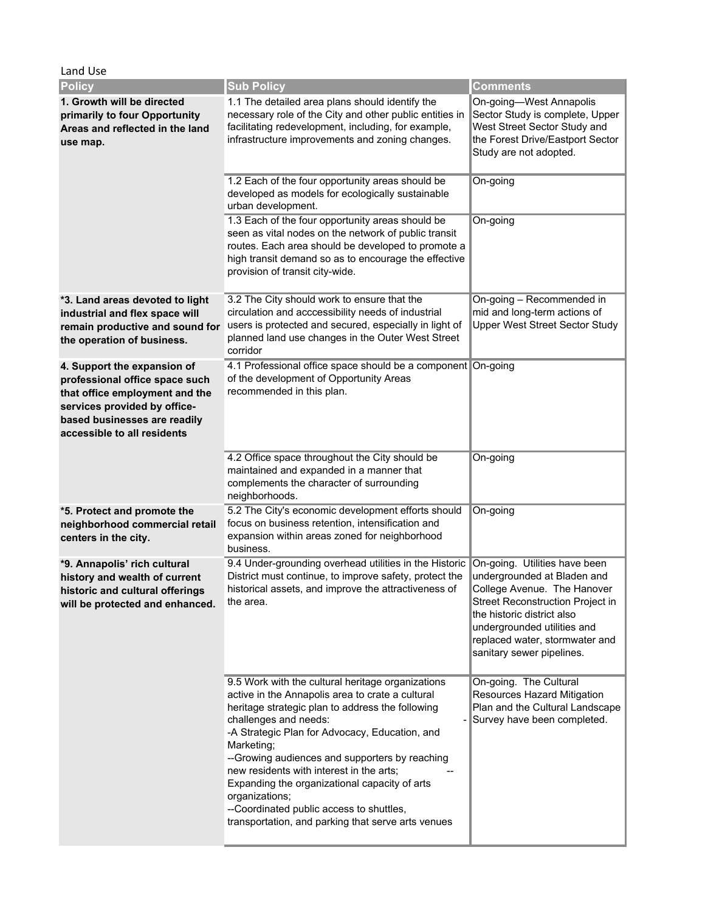| Land Use                                                                                                                                                                                       |                                                                                                                                                                                                                                                                                                                                                                                                                                                                                                                       |                                                                                                                                                                                                    |  |
|------------------------------------------------------------------------------------------------------------------------------------------------------------------------------------------------|-----------------------------------------------------------------------------------------------------------------------------------------------------------------------------------------------------------------------------------------------------------------------------------------------------------------------------------------------------------------------------------------------------------------------------------------------------------------------------------------------------------------------|----------------------------------------------------------------------------------------------------------------------------------------------------------------------------------------------------|--|
| <b>Policy</b>                                                                                                                                                                                  | <b>Sub Policy</b>                                                                                                                                                                                                                                                                                                                                                                                                                                                                                                     | Comments                                                                                                                                                                                           |  |
| 1. Growth will be directed<br>primarily to four Opportunity<br>Areas and reflected in the land<br>use map.                                                                                     | 1.1 The detailed area plans should identify the<br>necessary role of the City and other public entities in<br>facilitating redevelopment, including, for example,<br>infrastructure improvements and zoning changes.                                                                                                                                                                                                                                                                                                  | On-going-West Annapolis<br>Sector Study is complete, Upper<br>West Street Sector Study and<br>the Forest Drive/Eastport Sector<br>Study are not adopted.                                           |  |
|                                                                                                                                                                                                | 1.2 Each of the four opportunity areas should be<br>developed as models for ecologically sustainable<br>urban development.                                                                                                                                                                                                                                                                                                                                                                                            | On-going                                                                                                                                                                                           |  |
|                                                                                                                                                                                                | 1.3 Each of the four opportunity areas should be<br>seen as vital nodes on the network of public transit<br>routes. Each area should be developed to promote a<br>high transit demand so as to encourage the effective<br>provision of transit city-wide.                                                                                                                                                                                                                                                             | On-going                                                                                                                                                                                           |  |
| *3. Land areas devoted to light<br>industrial and flex space will<br>remain productive and sound for<br>the operation of business.                                                             | 3.2 The City should work to ensure that the<br>circulation and acccessibility needs of industrial<br>users is protected and secured, especially in light of<br>planned land use changes in the Outer West Street<br>corridor                                                                                                                                                                                                                                                                                          | On-going - Recommended in<br>mid and long-term actions of<br><b>Upper West Street Sector Study</b>                                                                                                 |  |
| 4. Support the expansion of<br>professional office space such<br>that office employment and the<br>services provided by office-<br>based businesses are readily<br>accessible to all residents | 4.1 Professional office space should be a component On-going<br>of the development of Opportunity Areas<br>recommended in this plan.                                                                                                                                                                                                                                                                                                                                                                                  |                                                                                                                                                                                                    |  |
|                                                                                                                                                                                                | 4.2 Office space throughout the City should be<br>maintained and expanded in a manner that<br>complements the character of surrounding<br>neighborhoods.                                                                                                                                                                                                                                                                                                                                                              | On-going                                                                                                                                                                                           |  |
| *5. Protect and promote the<br>neighborhood commercial retail<br>centers in the city.                                                                                                          | 5.2 The City's economic development efforts should<br>focus on business retention, intensification and<br>expansion within areas zoned for neighborhood<br>business.                                                                                                                                                                                                                                                                                                                                                  | On-going                                                                                                                                                                                           |  |
| *9. Annapolis' rich cultural<br>history and wealth of current<br>historic and cultural offerings<br>will be protected and enhanced.                                                            | 9.4 Under-grounding overhead utilities in the Historic   On-going. Utilities have been<br>District must continue, to improve safety, protect the  undergrounded at Bladen and<br>historical assets, and improve the attractiveness of<br>the area.                                                                                                                                                                                                                                                                    | College Avenue. The Hanover<br><b>Street Reconstruction Project in</b><br>the historic district also<br>undergrounded utilities and<br>replaced water, stormwater and<br>sanitary sewer pipelines. |  |
|                                                                                                                                                                                                | 9.5 Work with the cultural heritage organizations<br>active in the Annapolis area to crate a cultural<br>heritage strategic plan to address the following<br>challenges and needs:<br>-A Strategic Plan for Advocacy, Education, and<br>Marketing;<br>--Growing audiences and supporters by reaching<br>new residents with interest in the arts;<br>Expanding the organizational capacity of arts<br>organizations;<br>--Coordinated public access to shuttles,<br>transportation, and parking that serve arts venues | On-going. The Cultural<br>Resources Hazard Mitigation<br>Plan and the Cultural Landscape<br>Survey have been completed.                                                                            |  |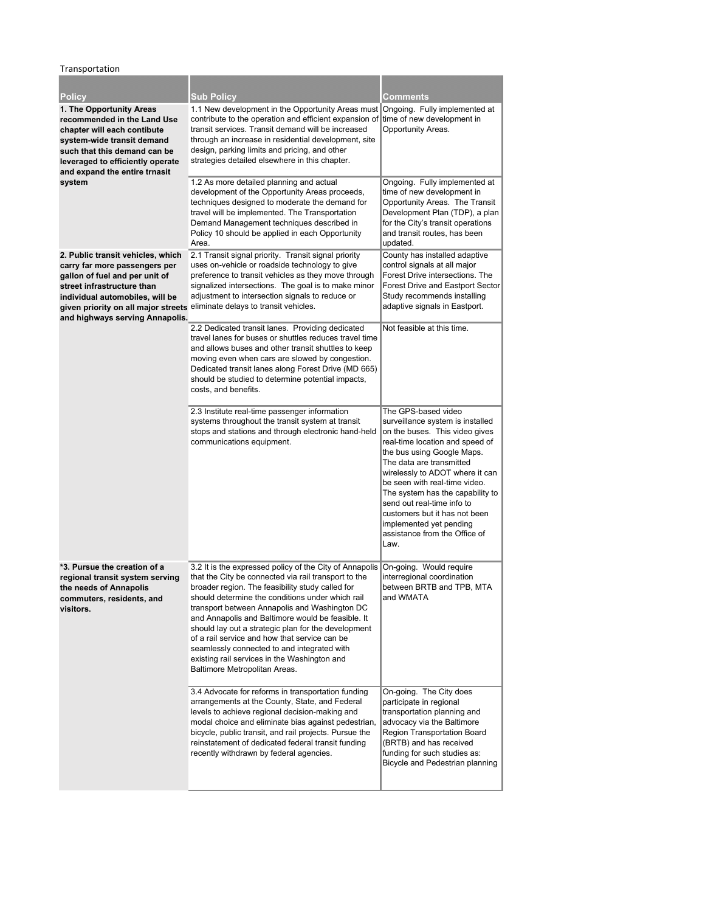Transportation

| <b>Policy</b>                                                                                                                                                                                                                                                                         | Sub Policy                                                                                                                                                                                                                                                                                                                                                                                                                                                                                                                                                            | Comments                                                                                                                                                                                                                                                                                                                                                                                                                          |
|---------------------------------------------------------------------------------------------------------------------------------------------------------------------------------------------------------------------------------------------------------------------------------------|-----------------------------------------------------------------------------------------------------------------------------------------------------------------------------------------------------------------------------------------------------------------------------------------------------------------------------------------------------------------------------------------------------------------------------------------------------------------------------------------------------------------------------------------------------------------------|-----------------------------------------------------------------------------------------------------------------------------------------------------------------------------------------------------------------------------------------------------------------------------------------------------------------------------------------------------------------------------------------------------------------------------------|
| 1. The Opportunity Areas<br>recommended in the Land Use<br>chapter will each contibute<br>system-wide transit demand<br>such that this demand can be<br>leveraged to efficiently operate<br>and expand the entire trnasit                                                             | 1.1 New development in the Opportunity Areas must Ongoing. Fully implemented at<br>contribute to the operation and efficient expansion of<br>transit services. Transit demand will be increased<br>through an increase in residential development, site<br>design, parking limits and pricing, and other<br>strategies detailed elsewhere in this chapter.                                                                                                                                                                                                            | time of new development in<br>Opportunity Areas.                                                                                                                                                                                                                                                                                                                                                                                  |
| system                                                                                                                                                                                                                                                                                | 1.2 As more detailed planning and actual<br>development of the Opportunity Areas proceeds,<br>techniques designed to moderate the demand for<br>travel will be implemented. The Transportation<br>Demand Management techniques described in<br>Policy 10 should be applied in each Opportunity<br>Area.                                                                                                                                                                                                                                                               | Ongoing. Fully implemented at<br>time of new development in<br>Opportunity Areas. The Transit<br>Development Plan (TDP), a plan<br>for the City's transit operations<br>and transit routes, has been<br>updated.                                                                                                                                                                                                                  |
| 2. Public transit vehicles, which<br>carry far more passengers per<br>gallon of fuel and per unit of<br>street infrastructure than<br>individual automobiles, will be<br>given priority on all major streets eliminate delays to transit vehicles.<br>and highways serving Annapolis. | 2.1 Transit signal priority. Transit signal priority<br>uses on-vehicle or roadside technology to give<br>preference to transit vehicles as they move through<br>signalized intersections. The goal is to make minor<br>adjustment to intersection signals to reduce or                                                                                                                                                                                                                                                                                               | County has installed adaptive<br>control signals at all major<br>Forest Drive intersections. The<br>Forest Drive and Eastport Sector<br>Study recommends installing<br>adaptive signals in Eastport.                                                                                                                                                                                                                              |
|                                                                                                                                                                                                                                                                                       | 2.2 Dedicated transit lanes. Providing dedicated<br>travel lanes for buses or shuttles reduces travel time<br>and allows buses and other transit shuttles to keep<br>moving even when cars are slowed by congestion.<br>Dedicated transit lanes along Forest Drive (MD 665)<br>should be studied to determine potential impacts,<br>costs, and benefits.                                                                                                                                                                                                              | Not feasible at this time.                                                                                                                                                                                                                                                                                                                                                                                                        |
|                                                                                                                                                                                                                                                                                       | 2.3 Institute real-time passenger information<br>systems throughout the transit system at transit<br>stops and stations and through electronic hand-held<br>communications equipment.                                                                                                                                                                                                                                                                                                                                                                                 | The GPS-based video<br>surveillance system is installed<br>on the buses. This video gives<br>real-time location and speed of<br>the bus using Google Maps.<br>The data are transmitted<br>wirelessly to ADOT where it can<br>be seen with real-time video.<br>The system has the capability to<br>send out real-time info to<br>customers but it has not been<br>implemented yet pending<br>assistance from the Office of<br>Law. |
| *3. Pursue the creation of a<br>regional transit system serving<br>the needs of Annapolis<br>commuters, residents, and<br>visitors.                                                                                                                                                   | 3.2 It is the expressed policy of the City of Annapolis<br>that the City be connected via rail transport to the<br>broader region. The feasibility study called for<br>should determine the conditions under which rail<br>transport between Annapolis and Washington DC<br>and Annapolis and Baltimore would be feasible. It<br>should lay out a strategic plan for the development<br>of a rail service and how that service can be<br>seamlessly connected to and integrated with<br>existing rail services in the Washington and<br>Baltimore Metropolitan Areas. | On-going. Would require<br>interregional coordination<br>between BRTB and TPB, MTA<br>and WMATA                                                                                                                                                                                                                                                                                                                                   |
|                                                                                                                                                                                                                                                                                       | 3.4 Advocate for reforms in transportation funding<br>arrangements at the County, State, and Federal<br>levels to achieve regional decision-making and<br>modal choice and eliminate bias against pedestrian,<br>bicycle, public transit, and rail projects. Pursue the<br>reinstatement of dedicated federal transit funding<br>recently withdrawn by federal agencies.                                                                                                                                                                                              | On-going. The City does<br>participate in regional<br>transportation planning and<br>advocacy via the Baltimore<br>Region Transportation Board<br>(BRTB) and has received<br>funding for such studies as:<br>Bicycle and Pedestrian planning                                                                                                                                                                                      |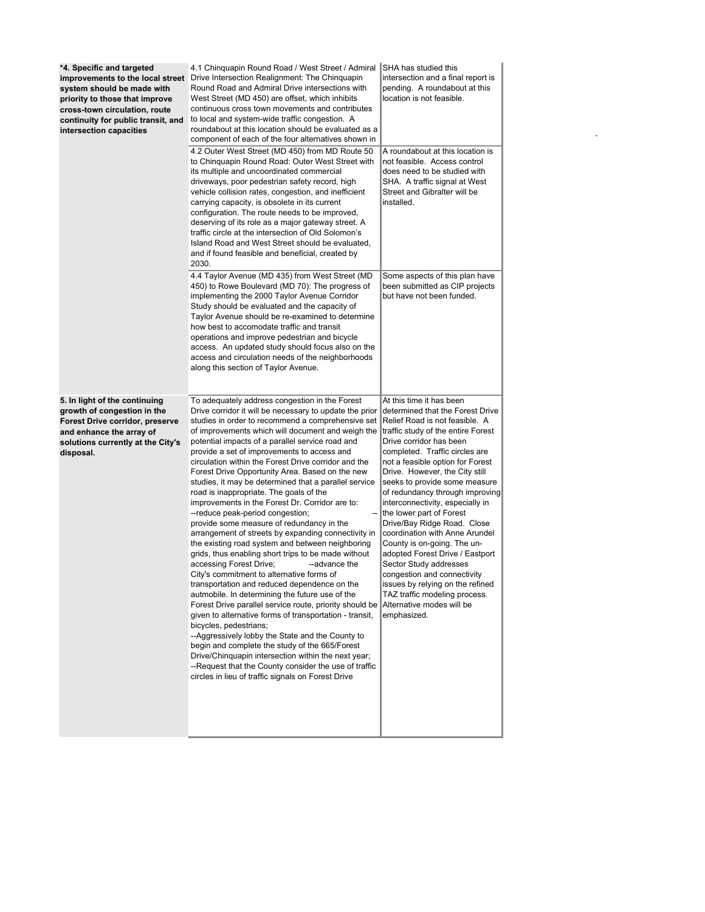| *4. Specific and targeted<br>improvements to the local street<br>system should be made with<br>priority to those that improve<br>cross-town circulation, route<br>continuity for public transit, and<br>intersection capacities | 4.1 Chinquapin Round Road / West Street / Admiral SHA has studied this<br>Drive Intersection Realignment: The Chinquapin<br>Round Road and Admiral Drive intersections with<br>West Street (MD 450) are offset, which inhibits<br>continuous cross town movements and contributes<br>to local and system-wide traffic congestion. A<br>roundabout at this location should be evaluated as a<br>component of each of the four alternatives shown in<br>4.2 Outer West Street (MD 450) from MD Route 50<br>to Chinquapin Round Road: Outer West Street with<br>its multiple and uncoordinated commercial<br>driveways, poor pedestrian safety record, high<br>vehicle collision rates, congestion, and inefficient<br>carrying capacity, is obsolete in its current<br>configuration. The route needs to be improved,<br>deserving of its role as a major gateway street. A<br>traffic circle at the intersection of Old Solomon's<br>Island Road and West Street should be evaluated,<br>and if found feasible and beneficial, created by<br>2030.                                                                                                                                                                                                                                                                                                                                                                                                                                                   | intersection and a final report is<br>pending. A roundabout at this<br>location is not feasible.<br>A roundabout at this location is<br>not feasible. Access control<br>does need to be studied with<br>SHA. A traffic signal at West<br>Street and Gibralter will be<br>installed.                                                                                                                                                                                                                                                                                                                                                                                                         |
|---------------------------------------------------------------------------------------------------------------------------------------------------------------------------------------------------------------------------------|-----------------------------------------------------------------------------------------------------------------------------------------------------------------------------------------------------------------------------------------------------------------------------------------------------------------------------------------------------------------------------------------------------------------------------------------------------------------------------------------------------------------------------------------------------------------------------------------------------------------------------------------------------------------------------------------------------------------------------------------------------------------------------------------------------------------------------------------------------------------------------------------------------------------------------------------------------------------------------------------------------------------------------------------------------------------------------------------------------------------------------------------------------------------------------------------------------------------------------------------------------------------------------------------------------------------------------------------------------------------------------------------------------------------------------------------------------------------------------------------------------|---------------------------------------------------------------------------------------------------------------------------------------------------------------------------------------------------------------------------------------------------------------------------------------------------------------------------------------------------------------------------------------------------------------------------------------------------------------------------------------------------------------------------------------------------------------------------------------------------------------------------------------------------------------------------------------------|
|                                                                                                                                                                                                                                 | 4.4 Taylor Avenue (MD 435) from West Street (MD<br>450) to Rowe Boulevard (MD 70): The progress of<br>implementing the 2000 Taylor Avenue Corridor<br>Study should be evaluated and the capacity of<br>Taylor Avenue should be re-examined to determine<br>how best to accomodate traffic and transit<br>operations and improve pedestrian and bicycle<br>access. An updated study should focus also on the<br>access and circulation needs of the neighborhoods<br>along this section of Taylor Avenue.                                                                                                                                                                                                                                                                                                                                                                                                                                                                                                                                                                                                                                                                                                                                                                                                                                                                                                                                                                                            | Some aspects of this plan have<br>been submitted as CIP projects<br>but have not been funded.                                                                                                                                                                                                                                                                                                                                                                                                                                                                                                                                                                                               |
| 5. In light of the continuing<br>growth of congestion in the<br><b>Forest Drive corridor, preserve</b><br>and enhance the array of<br>solutions currently at the City's<br>disposal.                                            | To adequately address congestion in the Forest<br>Drive corridor it will be necessary to update the prior<br>studies in order to recommend a comprehensive set<br>of improvements which will document and weigh the<br>potential impacts of a parallel service road and<br>provide a set of improvements to access and<br>circulation within the Forest Drive corridor and the<br>Forest Drive Opportunity Area. Based on the new<br>studies, it may be determined that a parallel service<br>road is inappropriate. The goals of the<br>improvements in the Forest Dr. Corridor are to:<br>--reduce peak-period congestion;<br>--<br>provide some measure of redundancy in the<br>arrangement of streets by expanding connectivity in<br>the existing road system and between neighboring<br>grids, thus enabling short trips to be made without<br>accessing Forest Drive;<br>--advance the<br>City's commitment to alternative forms of<br>transportation and reduced dependence on the<br>autmobile. In determining the future use of the<br>Forest Drive parallel service route, priority should be Alternative modes will be<br>given to alternative forms of transportation - transit,<br>bicycles, pedestrians;<br>--Aggressively lobby the State and the County to<br>begin and complete the study of the 665/Forest<br>Drive/Chinguapin intersection within the next year;<br>--Request that the County consider the use of traffic<br>circles in lieu of traffic signals on Forest Drive | At this time it has been<br>determined that the Forest Drive<br>Relief Road is not feasible. A<br>traffic study of the entire Forest<br>Drive corridor has been<br>completed. Traffic circles are<br>not a feasible option for Forest<br>Drive. However, the City still<br>seeks to provide some measure<br>of redundancy through improving<br>interconnectivity, especially in<br>the lower part of Forest<br>Drive/Bay Ridge Road. Close<br>coordination with Anne Arundel<br>County is on-going. The un-<br>adopted Forest Drive / Eastport<br>Sector Study addresses<br>congestion and connectivity<br>issues by relying on the refined<br>TAZ traffic modeling process.<br>emphasized. |

 $\label{eq:1} \sum_{i=1}^n \frac{1}{n_i} \sum_{i=1}^n \frac{1}{n_i} \sum_{i=1}^n \frac{1}{n_i} \sum_{i=1}^n \frac{1}{n_i} \sum_{i=1}^n \frac{1}{n_i} \sum_{i=1}^n \frac{1}{n_i} \sum_{i=1}^n \frac{1}{n_i} \sum_{i=1}^n \frac{1}{n_i} \sum_{i=1}^n \frac{1}{n_i} \sum_{i=1}^n \frac{1}{n_i} \sum_{i=1}^n \frac{1}{n_i} \sum_{i=1}^n \frac{1}{n_i} \sum_{i=1}^n$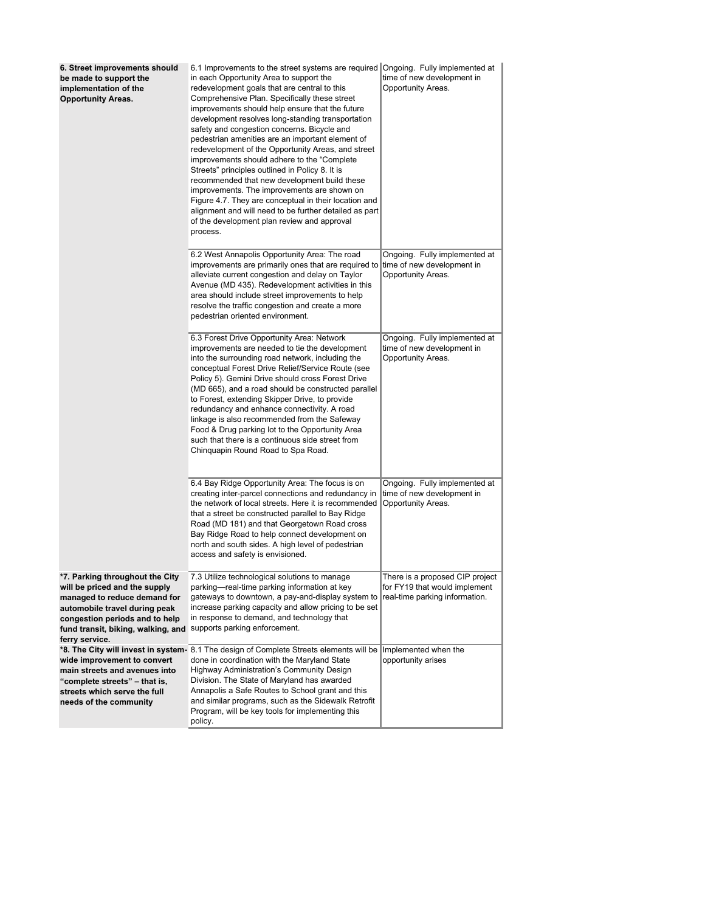| 6. Street improvements should<br>be made to support the<br>implementation of the<br><b>Opportunity Areas.</b>                                                                                                               | 6.1 Improvements to the street systems are required Ongoing. Fully implemented at<br>in each Opportunity Area to support the<br>redevelopment goals that are central to this<br>Comprehensive Plan. Specifically these street<br>improvements should help ensure that the future<br>development resolves long-standing transportation<br>safety and congestion concerns. Bicycle and<br>pedestrian amenities are an important element of<br>redevelopment of the Opportunity Areas, and street<br>improvements should adhere to the "Complete"<br>Streets" principles outlined in Policy 8. It is<br>recommended that new development build these<br>improvements. The improvements are shown on<br>Figure 4.7. They are conceptual in their location and<br>alignment and will need to be further detailed as part<br>of the development plan review and approval<br>process. | time of new development in<br>Opportunity Areas.                                                   |
|-----------------------------------------------------------------------------------------------------------------------------------------------------------------------------------------------------------------------------|--------------------------------------------------------------------------------------------------------------------------------------------------------------------------------------------------------------------------------------------------------------------------------------------------------------------------------------------------------------------------------------------------------------------------------------------------------------------------------------------------------------------------------------------------------------------------------------------------------------------------------------------------------------------------------------------------------------------------------------------------------------------------------------------------------------------------------------------------------------------------------|----------------------------------------------------------------------------------------------------|
|                                                                                                                                                                                                                             | 6.2 West Annapolis Opportunity Area: The road<br>improvements are primarily ones that are required to<br>alleviate current congestion and delay on Taylor<br>Avenue (MD 435). Redevelopment activities in this<br>area should include street improvements to help<br>resolve the traffic congestion and create a more<br>pedestrian oriented environment.                                                                                                                                                                                                                                                                                                                                                                                                                                                                                                                      | Ongoing. Fully implemented at<br>time of new development in<br>Opportunity Areas.                  |
|                                                                                                                                                                                                                             | 6.3 Forest Drive Opportunity Area: Network<br>improvements are needed to tie the development<br>into the surrounding road network, including the<br>conceptual Forest Drive Relief/Service Route (see<br>Policy 5). Gemini Drive should cross Forest Drive<br>(MD 665), and a road should be constructed parallel<br>to Forest, extending Skipper Drive, to provide<br>redundancy and enhance connectivity. A road<br>linkage is also recommended from the Safeway<br>Food & Drug parking lot to the Opportunity Area<br>such that there is a continuous side street from<br>Chinquapin Round Road to Spa Road.                                                                                                                                                                                                                                                                | Ongoing. Fully implemented at<br>time of new development in<br>Opportunity Areas.                  |
|                                                                                                                                                                                                                             | 6.4 Bay Ridge Opportunity Area: The focus is on<br>creating inter-parcel connections and redundancy in  <br>the network of local streets. Here it is recommended<br>that a street be constructed parallel to Bay Ridge<br>Road (MD 181) and that Georgetown Road cross<br>Bay Ridge Road to help connect development on<br>north and south sides. A high level of pedestrian<br>access and safety is envisioned.                                                                                                                                                                                                                                                                                                                                                                                                                                                               | Ongoing. Fully implemented at<br>time of new development in<br>Opportunity Areas.                  |
| *7. Parking throughout the City<br>will be priced and the supply<br>managed to reduce demand for<br>automobile travel during peak<br>congestion periods and to help<br>fund transit, biking, walking, and<br>ferry service. | 7.3 Utilize technological solutions to manage<br>parking-real-time parking information at key<br>gateways to downtown, a pay-and-display system to<br>increase parking capacity and allow pricing to be set<br>in response to demand, and technology that<br>supports parking enforcement.                                                                                                                                                                                                                                                                                                                                                                                                                                                                                                                                                                                     | There is a proposed CIP project<br>for FY19 that would implement<br>real-time parking information. |
| wide improvement to convert<br>main streets and avenues into<br>"complete streets" - that is,<br>streets which serve the full<br>needs of the community                                                                     | *8. The City will invest in system- 8.1 The design of Complete Streets elements will be<br>done in coordination with the Maryland State<br>Highway Administration's Community Design<br>Division. The State of Maryland has awarded<br>Annapolis a Safe Routes to School grant and this<br>and similar programs, such as the Sidewalk Retrofit<br>Program, will be key tools for implementing this<br>policy.                                                                                                                                                                                                                                                                                                                                                                                                                                                                  | Implemented when the<br>opportunity arises                                                         |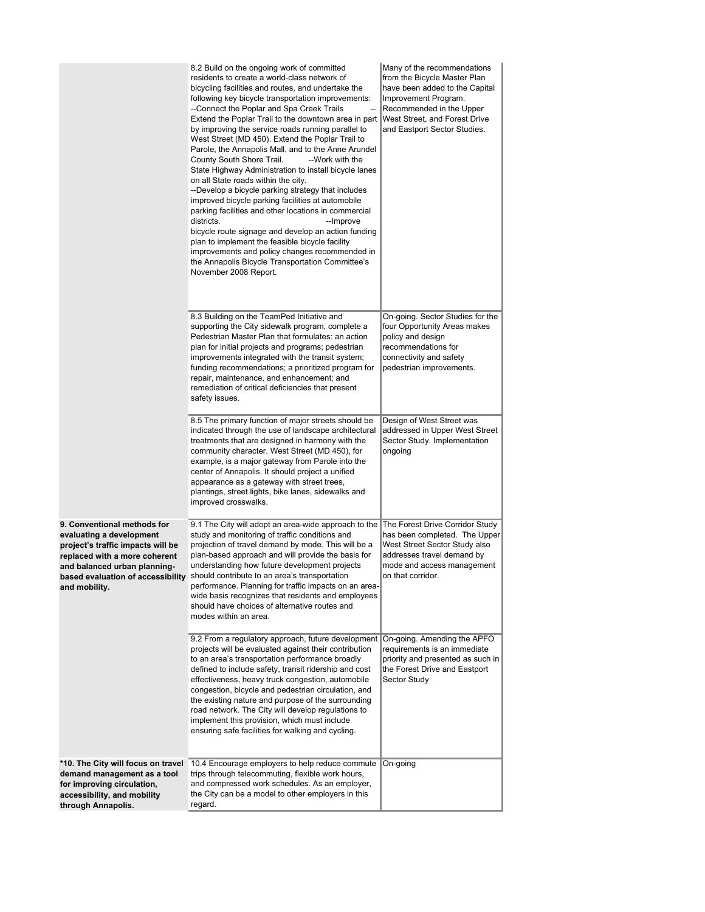|                                                                                                                                                                                                                     | 8.2 Build on the ongoing work of committed<br>residents to create a world-class network of<br>bicycling facilities and routes, and undertake the<br>following key bicycle transportation improvements:<br>--Connect the Poplar and Spa Creek Trails<br>Extend the Poplar Trail to the downtown area in part<br>by improving the service roads running parallel to<br>West Street (MD 450). Extend the Poplar Trail to<br>Parole, the Annapolis Mall, and to the Anne Arundel<br>County South Shore Trail.<br>--Work with the<br>State Highway Administration to install bicycle lanes<br>on all State roads within the city.<br>--Develop a bicycle parking strategy that includes<br>improved bicycle parking facilities at automobile<br>parking facilities and other locations in commercial<br>districts.<br>--Improve<br>bicycle route signage and develop an action funding<br>plan to implement the feasible bicycle facility<br>improvements and policy changes recommended in<br>the Annapolis Bicycle Transportation Committee's<br>November 2008 Report. | Many of the recommendations<br>from the Bicycle Master Plan<br>have been added to the Capital<br>Improvement Program.<br>Recommended in the Upper<br>West Street, and Forest Drive<br>and Eastport Sector Studies. |
|---------------------------------------------------------------------------------------------------------------------------------------------------------------------------------------------------------------------|---------------------------------------------------------------------------------------------------------------------------------------------------------------------------------------------------------------------------------------------------------------------------------------------------------------------------------------------------------------------------------------------------------------------------------------------------------------------------------------------------------------------------------------------------------------------------------------------------------------------------------------------------------------------------------------------------------------------------------------------------------------------------------------------------------------------------------------------------------------------------------------------------------------------------------------------------------------------------------------------------------------------------------------------------------------------|--------------------------------------------------------------------------------------------------------------------------------------------------------------------------------------------------------------------|
|                                                                                                                                                                                                                     | 8.3 Building on the TeamPed Initiative and<br>supporting the City sidewalk program, complete a<br>Pedestrian Master Plan that formulates: an action<br>plan for initial projects and programs; pedestrian<br>improvements integrated with the transit system;<br>funding recommendations; a prioritized program for<br>repair, maintenance, and enhancement; and<br>remediation of critical deficiencies that present<br>safety issues.                                                                                                                                                                                                                                                                                                                                                                                                                                                                                                                                                                                                                             | On-going. Sector Studies for the<br>four Opportunity Areas makes<br>policy and design<br>recommendations for<br>connectivity and safety<br>pedestrian improvements.                                                |
|                                                                                                                                                                                                                     | 8.5 The primary function of major streets should be<br>indicated through the use of landscape architectural<br>treatments that are designed in harmony with the<br>community character. West Street (MD 450), for<br>example, is a major gateway from Parole into the<br>center of Annapolis. It should project a unified<br>appearance as a gateway with street trees,<br>plantings, street lights, bike lanes, sidewalks and<br>improved crosswalks.                                                                                                                                                                                                                                                                                                                                                                                                                                                                                                                                                                                                              | Design of West Street was<br>addressed in Upper West Street<br>Sector Study. Implementation<br>ongoing                                                                                                             |
| 9. Conventional methods for<br>evaluating a development<br>project's traffic impacts will be<br>replaced with a more coherent<br>and balanced urban planning-<br>based evaluation of accessibility<br>and mobility. | 9.1 The City will adopt an area-wide approach to the<br>study and monitoring of traffic conditions and<br>projection of travel demand by mode. This will be a<br>plan-based approach and will provide the basis for<br>understanding how future development projects<br>should contribute to an area's transportation<br>performance. Planning for traffic impacts on an area-<br>wide basis recognizes that residents and employees<br>should have choices of alternative routes and<br>modes within an area.                                                                                                                                                                                                                                                                                                                                                                                                                                                                                                                                                      | The Forest Drive Corridor Study<br>has been completed. The Upper<br>West Street Sector Study also<br>addresses travel demand by<br>mode and access management<br>on that corridor.                                 |
|                                                                                                                                                                                                                     | 9.2 From a regulatory approach, future development<br>projects will be evaluated against their contribution<br>to an area's transportation performance broadly<br>defined to include safety, transit ridership and cost<br>effectiveness, heavy truck congestion, automobile<br>congestion, bicycle and pedestrian circulation, and<br>the existing nature and purpose of the surrounding<br>road network. The City will develop regulations to<br>implement this provision, which must include<br>ensuring safe facilities for walking and cycling.                                                                                                                                                                                                                                                                                                                                                                                                                                                                                                                | On-going. Amending the APFO<br>requirements is an immediate<br>priority and presented as such in<br>the Forest Drive and Eastport<br>Sector Study                                                                  |
| *10. The City will focus on travel<br>demand management as a tool<br>for improving circulation,<br>accessibility, and mobility<br>through Annapolis.                                                                | 10.4 Encourage employers to help reduce commute<br>trips through telecommuting, flexible work hours,<br>and compressed work schedules. As an employer,<br>the City can be a model to other employers in this<br>regard.                                                                                                                                                                                                                                                                                                                                                                                                                                                                                                                                                                                                                                                                                                                                                                                                                                             | On-going                                                                                                                                                                                                           |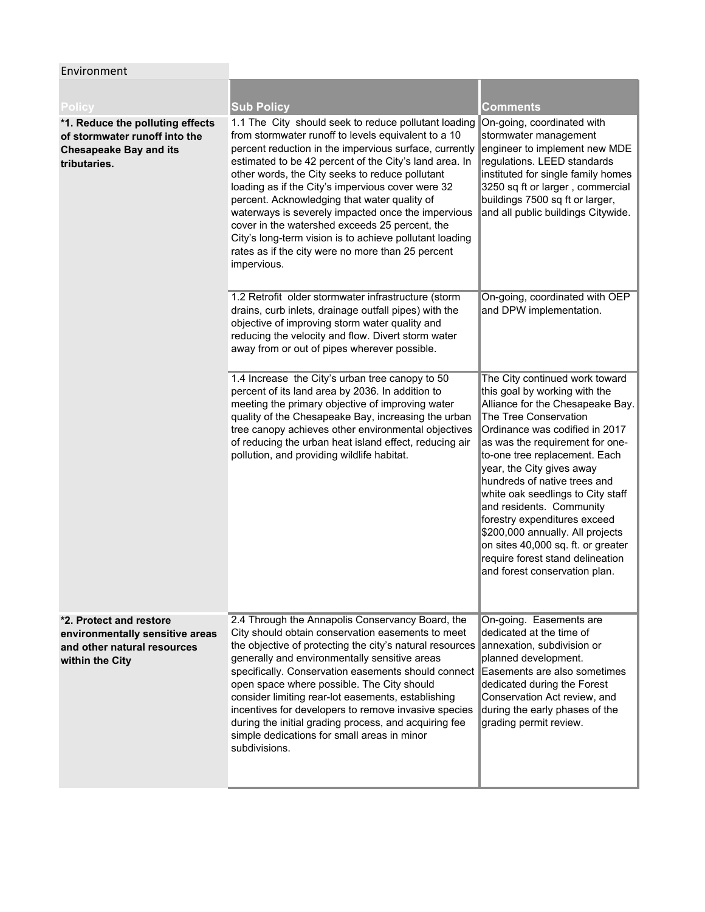## Environment

| Policy                                                                                                             | <b>Sub Policy</b>                                                                                                                                                                                                                                                                                                                                                                                                                                                                                                                                                                                                              | Comments                                                                                                                                                                                                                                                                                                                                                                                                                                                                                                                                        |
|--------------------------------------------------------------------------------------------------------------------|--------------------------------------------------------------------------------------------------------------------------------------------------------------------------------------------------------------------------------------------------------------------------------------------------------------------------------------------------------------------------------------------------------------------------------------------------------------------------------------------------------------------------------------------------------------------------------------------------------------------------------|-------------------------------------------------------------------------------------------------------------------------------------------------------------------------------------------------------------------------------------------------------------------------------------------------------------------------------------------------------------------------------------------------------------------------------------------------------------------------------------------------------------------------------------------------|
| *1. Reduce the polluting effects<br>of stormwater runoff into the<br><b>Chesapeake Bay and its</b><br>tributaries. | 1.1 The City should seek to reduce pollutant loading<br>from stormwater runoff to levels equivalent to a 10<br>percent reduction in the impervious surface, currently<br>estimated to be 42 percent of the City's land area. In<br>other words, the City seeks to reduce pollutant<br>loading as if the City's impervious cover were 32<br>percent. Acknowledging that water quality of<br>waterways is severely impacted once the impervious<br>cover in the watershed exceeds 25 percent, the<br>City's long-term vision is to achieve pollutant loading<br>rates as if the city were no more than 25 percent<br>impervious. | On-going, coordinated with<br>stormwater management<br>engineer to implement new MDE<br>regulations. LEED standards<br>instituted for single family homes<br>3250 sq ft or larger, commercial<br>buildings 7500 sq ft or larger,<br>and all public buildings Citywide.                                                                                                                                                                                                                                                                          |
|                                                                                                                    | 1.2 Retrofit older stormwater infrastructure (storm<br>drains, curb inlets, drainage outfall pipes) with the<br>objective of improving storm water quality and<br>reducing the velocity and flow. Divert storm water<br>away from or out of pipes wherever possible.                                                                                                                                                                                                                                                                                                                                                           | On-going, coordinated with OEP<br>and DPW implementation.                                                                                                                                                                                                                                                                                                                                                                                                                                                                                       |
|                                                                                                                    | 1.4 Increase the City's urban tree canopy to 50<br>percent of its land area by 2036. In addition to<br>meeting the primary objective of improving water<br>quality of the Chesapeake Bay, increasing the urban<br>tree canopy achieves other environmental objectives<br>of reducing the urban heat island effect, reducing air<br>pollution, and providing wildlife habitat.                                                                                                                                                                                                                                                  | The City continued work toward<br>this goal by working with the<br>Alliance for the Chesapeake Bay.<br>The Tree Conservation<br>Ordinance was codified in 2017<br>as was the requirement for one-<br>to-one tree replacement. Each<br>year, the City gives away<br>hundreds of native trees and<br>white oak seedlings to City staff<br>and residents. Community<br>forestry expenditures exceed<br>\$200,000 annually. All projects<br>on sites 40,000 sq. ft. or greater<br>require forest stand delineation<br>and forest conservation plan. |
| *2. Protect and restore<br>environmentally sensitive areas<br>and other natural resources<br>within the City       | 2.4 Through the Annapolis Conservancy Board, the<br>City should obtain conservation easements to meet<br>the objective of protecting the city's natural resources<br>generally and environmentally sensitive areas<br>specifically. Conservation easements should connect<br>open space where possible. The City should<br>consider limiting rear-lot easements, establishing<br>incentives for developers to remove invasive species<br>during the initial grading process, and acquiring fee<br>simple dedications for small areas in minor<br>subdivisions.                                                                 | On-going. Easements are<br>dedicated at the time of<br>annexation, subdivision or<br>planned development.<br>Easements are also sometimes<br>dedicated during the Forest<br>Conservation Act review, and<br>during the early phases of the<br>grading permit review.                                                                                                                                                                                                                                                                            |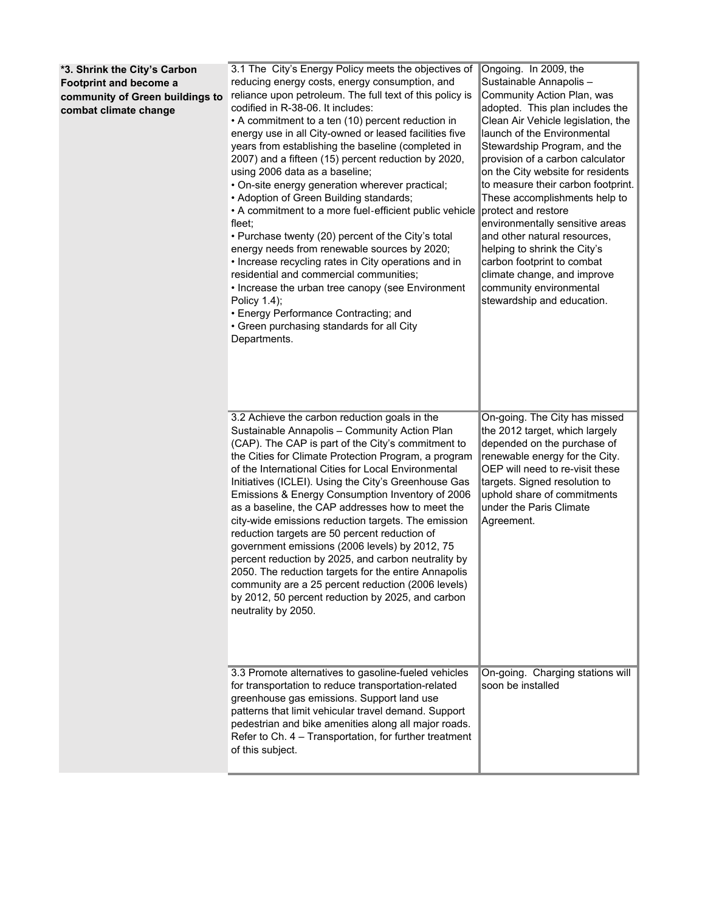| *3. Shrink the City's Carbon<br><b>Footprint and become a</b><br>community of Green buildings to<br>combat climate change | 3.1 The City's Energy Policy meets the objectives of<br>reducing energy costs, energy consumption, and<br>reliance upon petroleum. The full text of this policy is<br>codified in R-38-06. It includes:<br>• A commitment to a ten (10) percent reduction in<br>energy use in all City-owned or leased facilities five<br>years from establishing the baseline (completed in<br>2007) and a fifteen (15) percent reduction by 2020,<br>using 2006 data as a baseline;<br>. On-site energy generation wherever practical;<br>• Adoption of Green Building standards;<br>• A commitment to a more fuel-efficient public vehicle<br>fleet;<br>• Purchase twenty (20) percent of the City's total<br>energy needs from renewable sources by 2020;<br>• Increase recycling rates in City operations and in<br>residential and commercial communities;<br>• Increase the urban tree canopy (see Environment<br>Policy 1.4);<br>• Energy Performance Contracting; and<br>• Green purchasing standards for all City<br>Departments. | Ongoing. In 2009, the<br>Sustainable Annapolis-<br>Community Action Plan, was<br>adopted. This plan includes the<br>Clean Air Vehicle legislation, the<br>launch of the Environmental<br>Stewardship Program, and the<br>provision of a carbon calculator<br>on the City website for residents<br>to measure their carbon footprint.<br>These accomplishments help to<br>protect and restore<br>environmentally sensitive areas<br>and other natural resources,<br>helping to shrink the City's<br>carbon footprint to combat<br>climate change, and improve<br>community environmental<br>stewardship and education. |
|---------------------------------------------------------------------------------------------------------------------------|-----------------------------------------------------------------------------------------------------------------------------------------------------------------------------------------------------------------------------------------------------------------------------------------------------------------------------------------------------------------------------------------------------------------------------------------------------------------------------------------------------------------------------------------------------------------------------------------------------------------------------------------------------------------------------------------------------------------------------------------------------------------------------------------------------------------------------------------------------------------------------------------------------------------------------------------------------------------------------------------------------------------------------|-----------------------------------------------------------------------------------------------------------------------------------------------------------------------------------------------------------------------------------------------------------------------------------------------------------------------------------------------------------------------------------------------------------------------------------------------------------------------------------------------------------------------------------------------------------------------------------------------------------------------|
|                                                                                                                           | 3.2 Achieve the carbon reduction goals in the<br>Sustainable Annapolis - Community Action Plan<br>(CAP). The CAP is part of the City's commitment to<br>the Cities for Climate Protection Program, a program<br>of the International Cities for Local Environmental<br>Initiatives (ICLEI). Using the City's Greenhouse Gas<br>Emissions & Energy Consumption Inventory of 2006<br>as a baseline, the CAP addresses how to meet the<br>city-wide emissions reduction targets. The emission<br>reduction targets are 50 percent reduction of<br>government emissions (2006 levels) by 2012, 75<br>percent reduction by 2025, and carbon neutrality by<br>2050. The reduction targets for the entire Annapolis<br>community are a 25 percent reduction (2006 levels)<br>by 2012, 50 percent reduction by 2025, and carbon<br>neutrality by 2050.                                                                                                                                                                              | On-going. The City has missed<br>the 2012 target, which largely<br>depended on the purchase of<br>renewable energy for the City.<br>OEP will need to re-visit these<br>targets. Signed resolution to<br>uphold share of commitments<br>under the Paris Climate<br>Agreement.                                                                                                                                                                                                                                                                                                                                          |
|                                                                                                                           | 3.3 Promote alternatives to gasoline-fueled vehicles<br>for transportation to reduce transportation-related<br>greenhouse gas emissions. Support land use<br>patterns that limit vehicular travel demand. Support<br>pedestrian and bike amenities along all major roads.<br>Refer to Ch. 4 - Transportation, for further treatment<br>of this subject.                                                                                                                                                                                                                                                                                                                                                                                                                                                                                                                                                                                                                                                                     | On-going. Charging stations will<br>soon be installed                                                                                                                                                                                                                                                                                                                                                                                                                                                                                                                                                                 |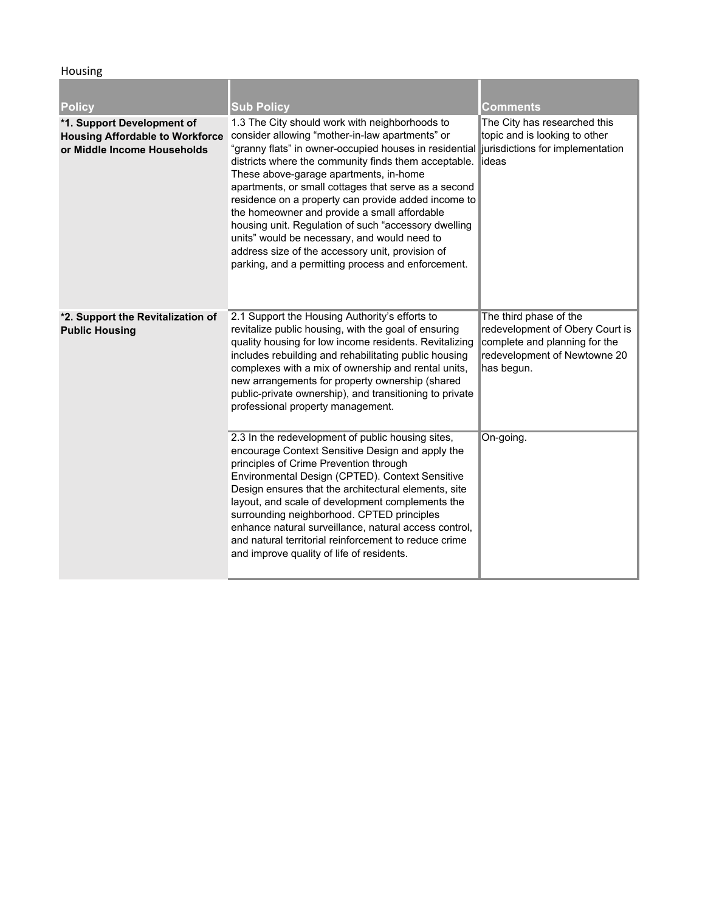**Housing** 

| <b>Policy</b>                                                                                       | <b>Sub Policy</b>                                                                                                                                                                                                                                                                                                                                                                                                                                                                                                                                                                                                                                                               | <b>Comments</b>                                                                                                                          |
|-----------------------------------------------------------------------------------------------------|---------------------------------------------------------------------------------------------------------------------------------------------------------------------------------------------------------------------------------------------------------------------------------------------------------------------------------------------------------------------------------------------------------------------------------------------------------------------------------------------------------------------------------------------------------------------------------------------------------------------------------------------------------------------------------|------------------------------------------------------------------------------------------------------------------------------------------|
| *1. Support Development of<br><b>Housing Affordable to Workforce</b><br>or Middle Income Households | 1.3 The City should work with neighborhoods to<br>consider allowing "mother-in-law apartments" or<br>"granny flats" in owner-occupied houses in residential jurisdictions for implementation<br>districts where the community finds them acceptable.<br>These above-garage apartments, in-home<br>apartments, or small cottages that serve as a second<br>residence on a property can provide added income to<br>the homeowner and provide a small affordable<br>housing unit. Regulation of such "accessory dwelling<br>units" would be necessary, and would need to<br>address size of the accessory unit, provision of<br>parking, and a permitting process and enforcement. | The City has researched this<br>topic and is looking to other<br>lideas                                                                  |
| *2. Support the Revitalization of<br><b>Public Housing</b>                                          | 2.1 Support the Housing Authority's efforts to<br>revitalize public housing, with the goal of ensuring<br>quality housing for low income residents. Revitalizing<br>includes rebuilding and rehabilitating public housing<br>complexes with a mix of ownership and rental units,<br>new arrangements for property ownership (shared<br>public-private ownership), and transitioning to private<br>professional property management.                                                                                                                                                                                                                                             | The third phase of the<br>redevelopment of Obery Court is<br>complete and planning for the<br>redevelopment of Newtowne 20<br>has begun. |
|                                                                                                     | 2.3 In the redevelopment of public housing sites,<br>encourage Context Sensitive Design and apply the<br>principles of Crime Prevention through<br>Environmental Design (CPTED). Context Sensitive<br>Design ensures that the architectural elements, site<br>layout, and scale of development complements the<br>surrounding neighborhood. CPTED principles<br>enhance natural surveillance, natural access control,<br>and natural territorial reinforcement to reduce crime<br>and improve quality of life of residents.                                                                                                                                                     | On-going.                                                                                                                                |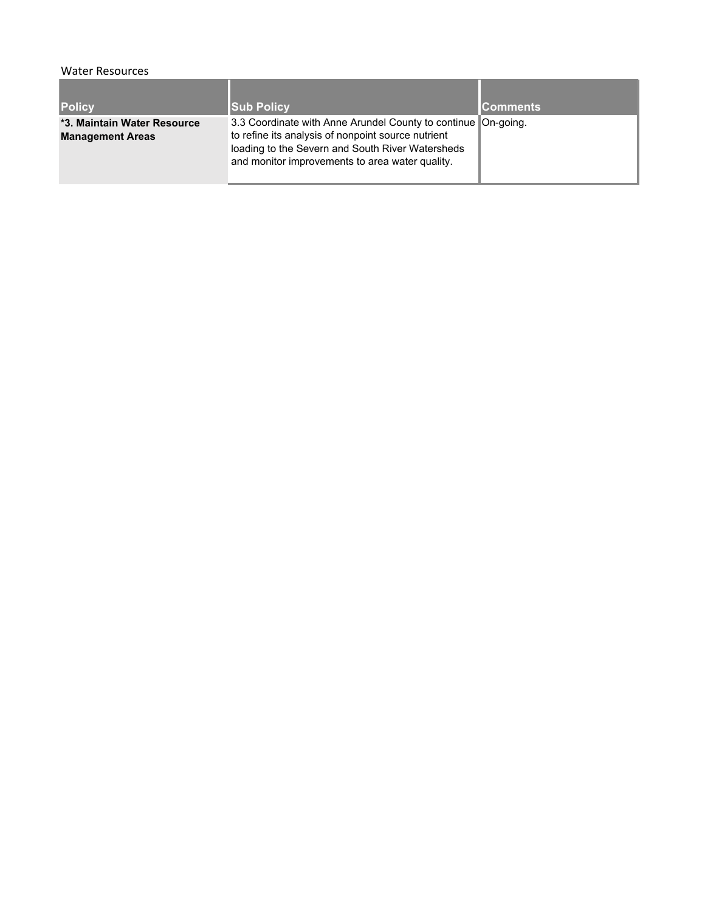## Water Resources

| <b>Policy</b>                                          | <b>Sub Policy</b>                                                                                                                                                                                                          | <b>Comments</b> |
|--------------------------------------------------------|----------------------------------------------------------------------------------------------------------------------------------------------------------------------------------------------------------------------------|-----------------|
| *3. Maintain Water Resource<br><b>Management Areas</b> | 3.3 Coordinate with Anne Arundel County to continue On-going.<br>to refine its analysis of nonpoint source nutrient<br>loading to the Severn and South River Watersheds<br>and monitor improvements to area water quality. |                 |